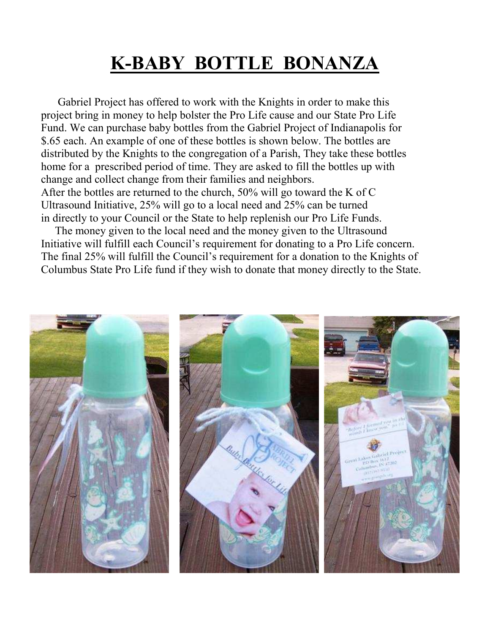# **K-BABY BOTTLE BONANZA**

 Gabriel Project has offered to work with the Knights in order to make this project bring in money to help bolster the Pro Life cause and our State Pro Life Fund. We can purchase baby bottles from the Gabriel Project of Indianapolis for \$.65 each. An example of one of these bottles is shown below. The bottles are distributed by the Knights to the congregation of a Parish, They take these bottles home for a prescribed period of time. They are asked to fill the bottles up with change and collect change from their families and neighbors. After the bottles are returned to the church, 50% will go toward the K of C

 Ultrasound Initiative, 25% will go to a local need and 25% can be turned in directly to your Council or the State to help replenish our Pro Life Funds.

 The money given to the local need and the money given to the Ultrasound Initiative will fulfill each Council's requirement for donating to a Pro Life concern. The final 25% will fulfill the Council's requirement for a donation to the Knights of Columbus State Pro Life fund if they wish to donate that money directly to the State.